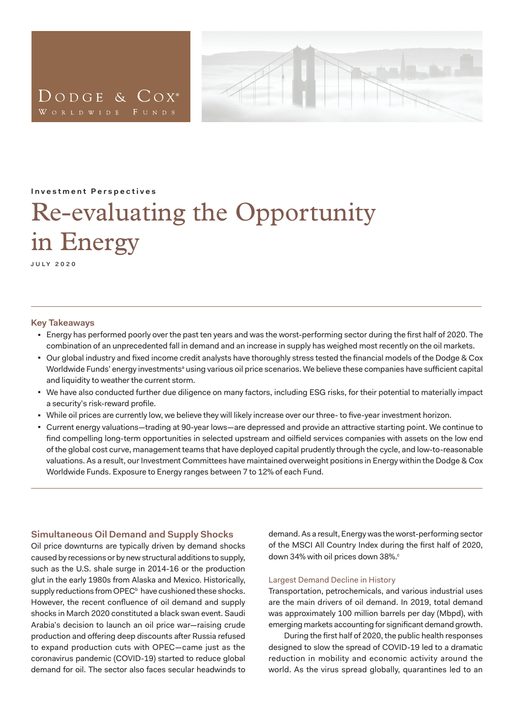

<span id="page-0-0"></span>**Investment Perspectives**

# Re-evaluating the Opportunity in Energy

july 2020

#### **Key Takeaways**

- <sup>◼</sup> Energy has performed poorly over the past ten years and was the worst-performing sector during the first half of 2020. The combination of an unprecedented fall in demand and an increase in supply has weighed most recently on the oil markets.
- Our global industry and fixed income credit analysts have thoroughly stress tested the financial models of the Dodge & Cox Worldwide Funds' energy investmentsª using v[a](#page-5-0)rious oil price scenarios. We believe these companies have sufficient capital and liquidity to weather the current storm.
- <sup>◼</sup> We have also conducted further due diligence on many factors, including ESG risks, for their potential to materially impact a security's risk-reward profile.
- While oil prices are currently low, we believe they will likely increase over our three- to five-year investment horizon.
- <sup>◼</sup> Current energy valuations—trading at 90-year lows—are depressed and provide an attractive starting point. We continue to find compelling long-term opportunities in selected upstream and oilfield services companies with assets on the low end of the global cost curve, management teams that have deployed capital prudently through the cycle, and low-to-reasonable valuations. As a result, our Investment Committees have maintained overweight positions in Energy within the Dodge & Cox Worldwide Funds. Exposure to Energy ranges between 7 to 12% of each Fund.

# **Simultaneous Oil Demand and Supply Shocks**

Oil price downturns are typically driven by demand shocks caused by recessions or by new structural additions to supply, such as the U.S. shale surge in 2014-16 or the production glut in the early 1980s from Alaska and Mexico. Historically, supply reductions from OPEC<sup>b</sup> have cushioned these shocks. However, the recent confluence of oil demand and supply shocks in March 2020 constituted a black swan event. Saudi Arabia's decision to launch an oil price war—raising crude production and offering deep discounts after Russia refused to expand production cuts with OPEC—came just as the coronavirus pandemic (COVID-19) started to reduce global demand for oil. The sector also faces secular headwinds to

demand. As a result, Energy was the worst-performing sector of the MSCI All Country Index during the first half of 2020, down 34% with oil prices down 38%. $\circ$ 

# Largest Demand Decline in History

Transportation, petrochemicals, and various industrial uses are the main drivers of oil demand. In 2019, total demand was approximately 100 million barrels per day (Mbpd), with emerging markets accounting for significant demand growth.

During the first half of 2020, the public health responses designed to slow the spread of COVID-19 led to a dramatic reduction in mobility and economic activity around the world. As the virus spread globally, quarantines led to an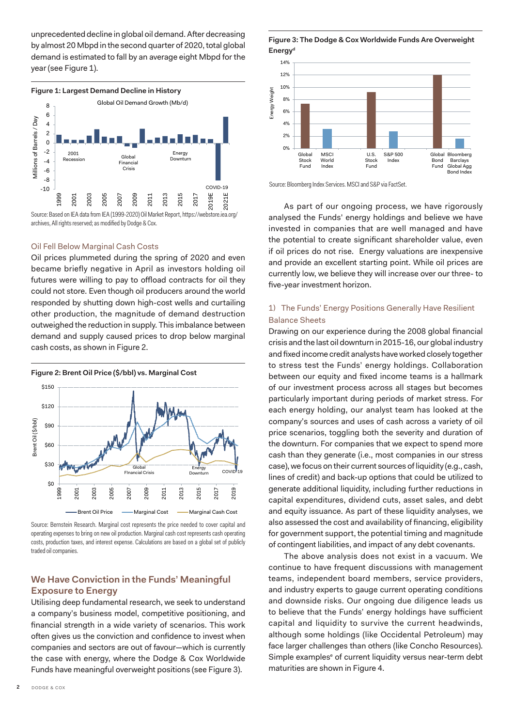unprecedented decline in global oil demand. After decreasing by almost 20 Mbpd in the second quarter of 2020, total global demand is estimated to fall by an average eight Mbpd for the year (see Figure 1).



archives, All rights reserved; as modified by Dodge & Cox.

#### Oil Fell Below Marginal Cash Costs

Oil prices plummeted during the spring of 2020 and even became briefly negative in April as investors holding oil futures were willing to pay to offload contracts for oil they could not store. Even though oil producers around the world responded by shutting down high-cost wells and curtailing other production, the magnitude of demand destruction outweighed the reduction in supply. This imbalance between demand and supply caused prices to drop below marginal cash costs, as shown in Figure 2.

**Figure 2: Brent Oil Price (\$/bbl) vs. Marginal Cost** \$150 \$120 3rent Oil (\$/bbl) Brent Oil (\$/bbl) \$90  $$60$ \$30 Glob Energy Ellergy<br>Downturn COVID-19 FInancial Crisis \$0 2015 2019 2013 1999 2005 2007 2009 200<sup>3</sup> 2011 2017 <u>00</u> Brent Oil Price - Marginal Cost - Marginal Cash Cost

Source: Bernstein Research. Marginal cost represents the price needed to cover capital and operating expenses to bring on new oil production. Marginal cash cost represents cash operating costs, production taxes, and interest expense. Calculations are based on a global set of publicly traded oil companies.

# **We Have Conviction in the Funds' Meaningful Exposure to Energy**

Utilising deep fundamental research, we seek to understand a company's business model, competitive positioning, and financial strength in a wide variety of scenarios. This work often gives us the conviction and confidence to invest when companies and sectors are out of favour—which is currently the case with energy, where the Dodge & Cox Worldwide Funds have meaningful overweight positions (see Figure 3).

#### **Figure 3: The Dodge & Cox Worldwide Funds Are Overweight Energyd**



Source: Bloomberg Index Services. MSCI and S&P via FactSet.

As part of our ongoing process, we have rigorously analysed the Funds' energy holdings and believe we have invested in companies that are well managed and have the potential to create significant shareholder value, even if oil prices do not rise. Energy valuations are inexpensive and provide an excellent starting point. While oil prices are currently low, we believe they will increase over our three- to five-year investment horizon.

# 1) The Funds' Energy Positions Generally Have Resilient Balance Sheets

Drawing on our experience during the 2008 global financial crisis and the last oil downturn in 2015-16, our global industry and fixed income credit analysts have worked closely together to stress test the Funds' energy holdings. Collaboration between our equity and fixed income teams is a hallmark of our investment process across all stages but becomes particularly important during periods of market stress. For each energy holding, our analyst team has looked at the company's sources and uses of cash across a variety of oil price scenarios, toggling both the severity and duration of the downturn. For companies that we expect to spend more cash than they generate (i.e., most companies in our stress case), we focus on their current sources of liquidity (e.g., cash, lines of credit) and back-up options that could be utilized to generate additional liquidity, including further reductions in capital expenditures, dividend cuts, asset sales, and debt and equity issuance. As part of these liquidity analyses, we also assessed the cost and availability of financing, eligibility for government support, the potential timing and magnitude of contingent liabilities, and impact of any debt covenants.

The above analysis does not exist in a vacuum. We continue to have frequent discussions with management teams, independent board members, service providers, and industry experts to gauge current operating conditions and downside risks. Our ongoing due diligence leads us to believe that the Funds' energy holdings have sufficient capital and liquidity to survive the current headwinds, although some holdings (like Occidental Petroleum) may face larger challenges than others (like Concho Resources). Simple examples<sup>e</sup> of current liquidity versus near-term debt maturities are shown in Figure 4.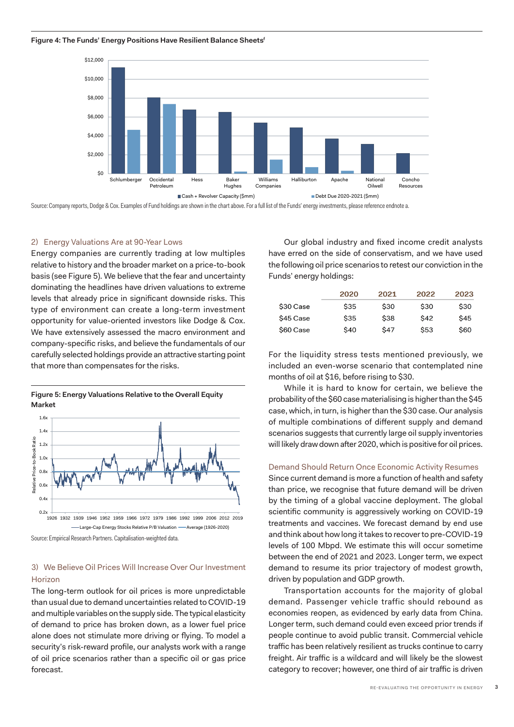

Source: Company reports, Dodge & Cox. Examples of Fund holdings are shown in the chart above. For a full list of the Funds' energy investments, please reference endnote a.

# 2) Energy Valuations Are at 90-Year Lows

Energy companies are currently trading at low multiples relative to history and the broader market on a price-to-book basis (see Figure 5). We believe that the fear and uncertainty dominating the headlines have driven valuations to extreme levels that already price in significant downside risks. This type of environment can create a long-term investment opportunity for value-oriented investors like Dodge & Cox. We have extensively assessed the macro environment and company-specific risks, and believe the fundamentals of our carefully selected holdings provide an attractive starting point that more than compensates for the risks.



**Figure 5: Energy Valuations Relative to the Overall Equity Market**

Source: Empirical Research Partners. Capitalisation-weighted data.

# 3) We Believe Oil Prices Will Increase Over Our Investment Horizon

The long-term outlook for oil prices is more unpredictable than usual due to demand uncertainties related to COVID-19 and multiple variables on the supply side. The typical elasticity of demand to price has broken down, as a lower fuel price alone does not stimulate more driving or flying. To model a security's risk-reward profile, our analysts work with a range of oil price scenarios rather than a specific oil or gas price forecast.

Our global industry and fixed income credit analysts have erred on the side of conservatism, and we have used the following oil price scenarios to retest our conviction in the Funds' energy holdings:

|           | 2020       | 2021        | 2022        | 2023       |
|-----------|------------|-------------|-------------|------------|
| \$30 Case | <b>S35</b> | \$30        | \$30        | <b>S30</b> |
| \$45 Case | \$35       | \$38        | \$42        | <b>S45</b> |
| \$60 Case | \$40       | <b>\$47</b> | <b>\$53</b> | \$60       |

For the liquidity stress tests mentioned previously, we included an even-worse scenario that contemplated nine months of oil at \$16, before rising to \$30.

While it is hard to know for certain, we believe the probability of the \$60 case materialising is higher than the \$45 case, which, in turn, is higher than the \$30 case. Our analysis of multiple combinations of different supply and demand scenarios suggests that currently large oil supply inventories will likely draw down after 2020, which is positive for oil prices.

#### Demand Should Return Once Economic Activity Resumes

Since current demand is more a function of health and safety than price, we recognise that future demand will be driven by the timing of a global vaccine deployment. The global scientific community is aggressively working on COVID-19 treatments and vaccines. We forecast demand by end use and think about how long it takes to recover to pre-COVID-19 levels of 100 Mbpd. We estimate this will occur sometime between the end of 2021 and 2023. Longer term, we expect demand to resume its prior trajectory of modest growth, driven by population and GDP growth.

economies reopen, as evidenced by early data from China. Transportation accounts for the majority of global demand. Passenger vehicle traffic should rebound as Longer term, such demand could even exceed prior trends if people continue to avoid public transit. Commercial vehicle traffic has been relatively resilient as trucks continue to carry freight. Air traffic is a wildcard and will likely be the slowest category to recover; however, one third of air traffic is driven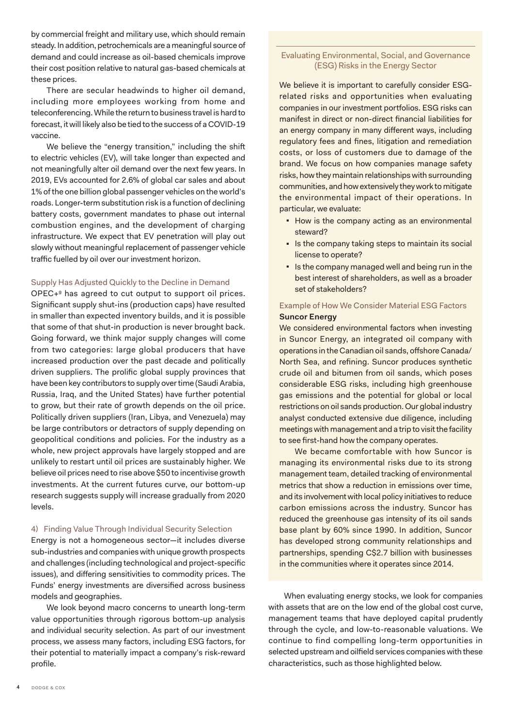by commercial freight and military use, which should remain steady. In addition, petrochemicals are a meaningful source of demand and could increase as oil-based chemicals improve their cost position relative to natural gas-based chemicals at these prices.

There are secular headwinds to higher oil demand, including more employees working from home and teleconferencing. While the return to business travel is hard to forecast, it will likely also be tied to the success of a COVID-19 vaccine.

We believe the "energy transition," including the shift to electric vehicles (EV), will take longer than expected and not meaningfully alter oil demand over the next few years. In 2019, EVs accounted for 2.6% of global car sales and about 1% of the one billion global passenger vehicles on the world's roads. Longer-term substitution risk is a function of declining battery costs, government mandates to phase out internal combustion engines, and the development of charging infrastructure. We expect that EV penetration will play out slowly without meaningful replacement of passenger vehicle traffic fuelled by oil over our investment horizon.

#### Supply Has Adjusted Quickly to the Decline in Demand

OPEC+<sup>9</sup> has agreed to cut output to support oil prices. Significant supply shut-ins (production caps) have resulted in smaller than expected inventory builds, and it is possible that some of that shut-in production is never brought back. Going forward, we think major supply changes will come from two categories: large global producers that have increased production over the past decade and politically driven suppliers. The prolific global supply provinces that have been key contributors to supply over time (Saudi Arabia, Russia, Iraq, and the United States) have further potential to grow, but their rate of growth depends on the oil price. Politically driven suppliers (Iran, Libya, and Venezuela) may be large contributors or detractors of supply depending on geopolitical conditions and policies. For the industry as a whole, new project approvals have largely stopped and are unlikely to restart until oil prices are sustainably higher. We believe oil prices need to rise above \$50 to incentivise growth investments. At the current futures curve, our bottom-up research suggests supply will increase gradually from 2020 levels.

#### 4) Finding Value Through Individual Security Selection

Energy is not a homogeneous sector—it includes diverse sub-industries and companies with unique growth prospects and challenges (including technological and project-specific issues), and differing sensitivities to commodity prices. The Funds' energy investments are diversified across business models and geographies.

We look beyond macro concerns to unearth long-term value opportunities through rigorous bottom-up analysis and individual security selection. As part of our investment process, we assess many factors, including ESG factors, for their potential to materially impact a company's risk-reward profile.

## Evaluating Environmental, Social, and Governance (ESG) Risks in the Energy Sector

We believe it is important to carefully consider ESGrelated risks and opportunities when evaluating companies in our investment portfolios. ESG risks can manifest in direct or non-direct financial liabilities for an energy company in many different ways, including regulatory fees and fines, litigation and remediation costs, or loss of customers due to damage of the brand. We focus on how companies manage safety risks, how they maintain relationships with surrounding communities, and how extensively they work to mitigate the environmental impact of their operations. In particular, we evaluate:

- How is the company acting as an environmental steward?
- Is the company taking steps to maintain its social license to operate?
- Is the company managed well and being run in the best interest of shareholders, as well as a broader set of stakeholders?

# Example of How We Consider Material ESG Factors **Suncor Energy**

We considered environmental factors when investing in Suncor Energy, an integrated oil company with operations in the Canadian oil sands, offshore Canada/ North Sea, and refining. Suncor produces synthetic crude oil and bitumen from oil sands, which poses considerable ESG risks, including high greenhouse gas emissions and the potential for global or local restrictions on oil sands production. Our global industry analyst conducted extensive due diligence, including meetings with management and a trip to visit the facility to see first-hand how the company operates.

We became comfortable with how Suncor is managing its environmental risks due to its strong management team, detailed tracking of environmental metrics that show a reduction in emissions over time, and its involvement with local policy initiatives to reduce carbon emissions across the industry. Suncor has reduced the greenhouse gas intensity of its oil sands base plant by 60% since 1990. In addition, Suncor has developed strong community relationships and partnerships, spending C\$2.7 billion with businesses in the communities where it operates since 2014.

When evaluating energy stocks, we look for companies with assets that are on the low end of the global cost curve, management teams that have deployed capital prudently through the cycle, and low-to-reasonable valuations. We continue to find compelling long-term opportunities in selected upstream and oilfield services companies with these characteristics, such as those highlighted below.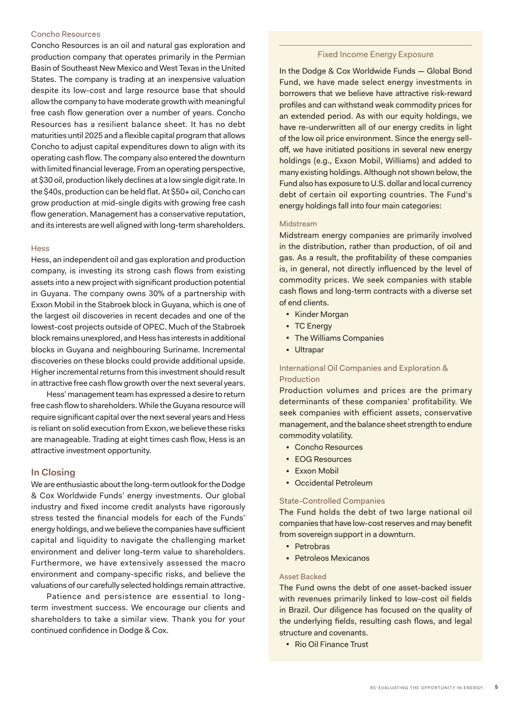## Concho Resources

Concho Resources is an oil and natural gas exploration and production company that operates primarily in the Permian Basin of Southeast New Mexico and West Texas in the United States. The company is trading at an inexpensive valuation despite its low-cost and large resource base that should allow the company to have moderate growth with meaningful free cash flow generation over a number of years. Concho Resources has a resilient balance sheet. It has no debt maturities until 2025 and a flexible capital program that allows Concho to adjust capital expenditures down to align with its operating cash flow. The company also entered the downturn with limited financial leverage. From an operating perspective, at \$30 oil, production likely declines at a low single digit rate. In the \$40s, production can be held flat. At \$50+ oil, Concho can grow production at mid-single digits with growing free cash flow generation. Management has a conservative reputation, and its interests are well aligned with long-term shareholders.

#### **Hess**

Hess, an independent oil and gas exploration and production company, is investing its strong cash flows from existing assets into a new project with significant production potential in Guyana. The company owns 30% of a partnership with Exxon Mobil in the Stabroek block in Guyana, which is one of the largest oil discoveries in recent decades and one of the lowest-cost projects outside of OPEC. Much of the Stabroek block remains unexplored, and Hess has interests in additional blocks in Guyana and neighbouring Suriname. Incremental discoveries on these blocks could provide additional upside. Higher incremental returns from this investment should result in attractive free cash flow growth over the next several years.

Hess' management team has expressed a desire to return free cash flow to shareholders. While the Guyana resource will require significant capital over the next several years and Hess is reliant on solid execution from Exxon, we believe these risks are manageable. Trading at eight times cash flow, Hess is an attractive investment opportunity.

# **In Closing**

We are enthusiastic about the long-term outlook for the Dodge & Cox Worldwide Funds' energy investments. Our global industry and fixed income credit analysts have rigorously stress tested the financial models for each of the Funds' energy holdings, and we believe the companies have sufficient capital and liquidity to navigate the challenging market environment and deliver long-term value to shareholders. Furthermore, we have extensively assessed the macro environment and company-specific risks, and believe the valuations of our carefully selected holdings remain attractive.

Patience and persistence are essential to longterm investment success. We encourage our clients and shareholders to take a similar view. Thank you for your continued confidence in Dodge & Cox.

#### Fixed Income Energy Exposure

In the Dodge & Cox Worldwide Funds — Global Bond Fund, we have made select energy investments in borrowers that we believe have attractive risk-reward profiles and can withstand weak commodity prices for an extended period. As with our equity holdings, we have re-underwritten all of our energy credits in light of the low oil price environment. Since the energy selloff, we have initiated positions in several new energy holdings (e.g., Exxon Mobil, Williams) and added to many existing holdings. Although not shown below, the Fund also has exposure to U.S. dollar and local currency debt of certain oil exporting countries. The Fund's energy holdings fall into four main categories:

#### Midstream

Midstream energy companies are primarily involved in the distribution, rather than production, of oil and gas. As a result, the profitability of these companies is, in general, not directly influenced by the level of commodity prices. We seek companies with stable cash flows and long-term contracts with a diverse set of end clients.

- Kinder Morgan
- TC Energy
- The Williams Companies
- Ultrapar

# International Oil Companies and Exploration & Production

Production volumes and prices are the primary determinants of these companies' profitability. We seek companies with efficient assets, conservative management, and the balance sheet strength to endure commodity volatility.

- <sup>◼</sup> Concho Resources
- EOG Resources
- Exxon Mobil
- Occidental Petroleum

#### State-Controlled Companies

The Fund holds the debt of two large national oil companies that have low-cost reserves and may benefit from sovereign support in a downturn.

- Petrobras
- Petroleos Mexicanos

## Asset Backed

The Fund owns the debt of one asset-backed issuer with revenues primarily linked to low-cost oil fields in Brazil. Our diligence has focused on the quality of the underlying fields, resulting cash flows, and legal structure and covenants.

■ Rio Oil Finance Trust